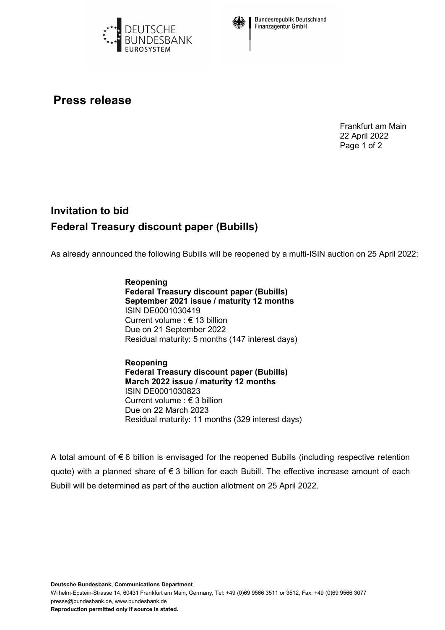



**Bundesrepublik Deutschland Finanzagentur GmbH** 

## **Press release**

Frankfurt am Main 22 April 2022 Page 1 of 2

## **Invitation to bid Federal Treasury discount paper (Bubills)**

As already announced the following Bubills will be reopened by a multi-ISIN auction on 25 April 2022:

**Reopening Federal Treasury discount paper (Bubills) September 2021 issue / maturity 12 months** ISIN DE0001030419 Current volume : € 13 billion Due on 21 September 2022 Residual maturity: 5 months (147 interest days)

**Reopening Federal Treasury discount paper (Bubills) March 2022 issue / maturity 12 months** ISIN DE0001030823 Current volume : € 3 billion Due on 22 March 2023 Residual maturity: 11 months (329 interest days)

A total amount of € 6 billion is envisaged for the reopened Bubills (including respective retention quote) with a planned share of € 3 billion for each Bubill. The effective increase amount of each Bubill will be determined as part of the auction allotment on 25 April 2022.

**Deutsche Bundesbank, Communications Department**

Wilhelm-Epstein-Strasse 14, 60431 Frankfurt am Main, Germany, Tel: +49 (0)69 9566 3511 or 3512, Fax: +49 (0)69 9566 3077 presse@bundesbank.de, www.bundesbank.de